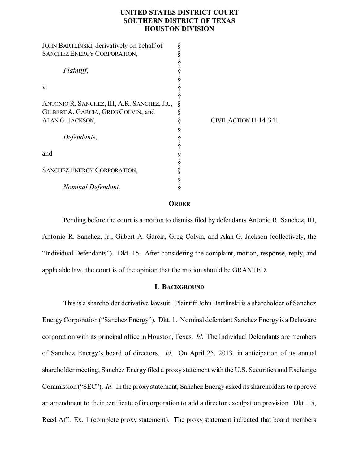# **UNITED STATES DISTRICT COURT SOUTHERN DISTRICT OF TEXAS HOUSTON DIVISION**

| JOHN BARTLINSKI, derivatively on behalf of  |                       |
|---------------------------------------------|-----------------------|
| <b>SANCHEZ ENERGY CORPORATION,</b>          |                       |
|                                             |                       |
| Plaintiff,                                  |                       |
|                                             |                       |
| v.                                          |                       |
|                                             |                       |
| ANTONIO R. SANCHEZ, III, A.R. SANCHEZ, JR., |                       |
| GILBERT A. GARCIA, GREG COLVIN, and         |                       |
| ALAN G. JACKSON,                            | CIVIL ACTION H-14-341 |
|                                             |                       |
| Defendants,                                 |                       |
|                                             |                       |
| and                                         |                       |
|                                             |                       |
| <b>SANCHEZ ENERGY CORPORATION,</b>          |                       |
|                                             |                       |
| Nominal Defendant.                          |                       |

## **ORDER**

Pending before the court is a motion to dismiss filed by defendants Antonio R. Sanchez, III, Antonio R. Sanchez, Jr., Gilbert A. Garcia, Greg Colvin, and Alan G. Jackson (collectively, the "Individual Defendants"). Dkt. 15. After considering the complaint, motion, response, reply, and applicable law, the court is of the opinion that the motion should be GRANTED.

#### **I. BACKGROUND**

This is a shareholder derivative lawsuit. PlaintiffJohn Bartlinski is a shareholder of Sanchez EnergyCorporation ("Sanchez Energy"). Dkt. 1. Nominal defendant Sanchez Energy is a Delaware corporation with its principal office in Houston, Texas. *Id.* The Individual Defendants are members of Sanchez Energy's board of directors. *Id.* On April 25, 2013, in anticipation of its annual shareholder meeting, Sanchez Energy filed a proxy statement with the U.S. Securities and Exchange Commission ("SEC"). *Id.* In the proxy statement, Sanchez Energy asked its shareholders to approve an amendment to their certificate of incorporation to add a director exculpation provision. Dkt. 15, Reed Aff., Ex. 1 (complete proxy statement). The proxy statement indicated that board members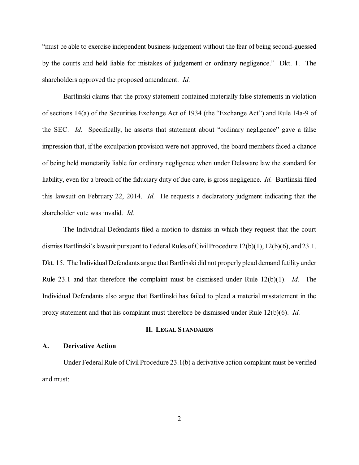"must be able to exercise independent business judgement without the fear of being second-guessed by the courts and held liable for mistakes of judgement or ordinary negligence." Dkt. 1. The shareholders approved the proposed amendment. *Id.*

Bartlinski claims that the proxy statement contained materially false statements in violation of sections 14(a) of the Securities Exchange Act of 1934 (the "Exchange Act") and Rule 14a-9 of the SEC. *Id.* Specifically, he asserts that statement about "ordinary negligence" gave a false impression that, if the exculpation provision were not approved, the board members faced a chance of being held monetarily liable for ordinary negligence when under Delaware law the standard for liability, even for a breach of the fiduciary duty of due care, is gross negligence. *Id.* Bartlinski filed this lawsuit on February 22, 2014. *Id.* He requests a declaratory judgment indicating that the shareholder vote was invalid. *Id.*

The Individual Defendants filed a motion to dismiss in which they request that the court dismiss Bartlinski's lawsuit pursuant to Federal Rules of Civil Procedure  $12(b)(1)$ ,  $12(b)(6)$ , and  $23.1$ . Dkt. 15. The Individual Defendants argue that Bartlinski did not properly plead demand futility under Rule 23.1 and that therefore the complaint must be dismissed under Rule 12(b)(1). *Id.* The Individual Defendants also argue that Bartlinski has failed to plead a material misstatement in the proxy statement and that his complaint must therefore be dismissed under Rule 12(b)(6). *Id.*

# **II. LEGAL STANDARDS**

### **A. Derivative Action**

Under Federal Rule of Civil Procedure 23.1(b) a derivative action complaint must be verified and must: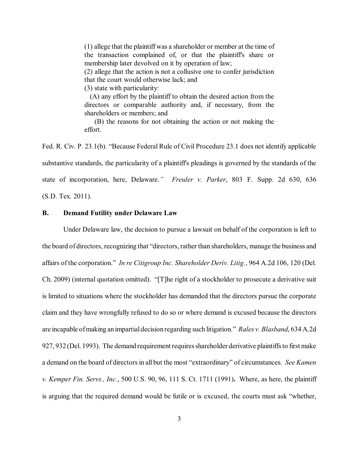(1) allege that the plaintiff was a shareholder or member at the time of the transaction complained of, or that the plaintiff's share or membership later devolved on it by operation of law;

(2) allege that the action is not a collusive one to confer jurisdiction that the court would otherwise lack; and

(3) state with particularity:

(A) any effort by the plaintiff to obtain the desired action from the directors or comparable authority and, if necessary, from the shareholders or members; and

(B) the reasons for not obtaining the action or not making the effort.

Fed. R. Civ. P. 23.1(b). "Because Federal Rule of Civil Procedure 23.1 does not identify applicable substantive standards, the particularity of a plaintiff's pleadings is governed by the standards of the state of incorporation, here, Delaware.*" Freuler v. Parker*, 803 F. Supp. 2d 630, 636 (S.D. Tex. 2011).

### **B. Demand Futility under Delaware Law**

Under Delaware law, the decision to pursue a lawsuit on behalf of the corporation is left to the board of directors, recognizing that "directors, rather than shareholders, manage the business and affairs of the corporation." *In re Citigroup Inc. Shareholder Deriv. Litig.*, 964 A.2d 106, 120 (Del. Ch. 2009) (internal quotation omitted). "[T]he right of a stockholder to prosecute a derivative suit is limited to situations where the stockholder has demanded that the directors pursue the corporate claim and they have wrongfully refused to do so or where demand is excused because the directors are incapable ofmaking an impartialdecision regarding such litigation." *Rales v. Blasband*, 634 A.2d 927, 932 (Del. 1993). The demand requirement requires shareholder derivative plaintiffs to first make a demand on the board of directors in all but the most "extraordinary" of circumstances. *See Kamen v. Kemper Fin. Servs., Inc.*, 500 U.S. 90, 96, 111 S. Ct. 1711 (1991)**.** Where, as here, the plaintiff is arguing that the required demand would be futile or is excused, the courts must ask "whether,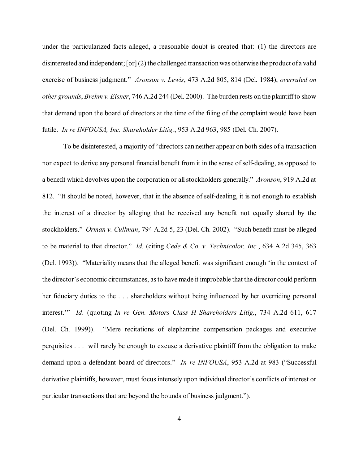under the particularized facts alleged, a reasonable doubt is created that: (1) the directors are disinterested and independent; [or]  $(2)$  the challenged transaction was otherwise the product of a valid exercise of business judgment." *Aronson v. Lewis*, 473 A.2d 805, 814 (Del. 1984), *overruled on other grounds*, *Brehm v. Eisner*, 746 A.2d 244 (Del. 2000). The burden rests on the plaintiffto show that demand upon the board of directors at the time of the filing of the complaint would have been futile. *In re INFOUSA, Inc. Shareholder Litig.*, 953 A.2d 963, 985 (Del. Ch. 2007).

To be disinterested, a majority of "directors can neither appear on both sides of a transaction nor expect to derive any personal financial benefit from it in the sense ofself-dealing, as opposed to a benefit which devolves upon the corporation or allstockholders generally." *Aronson*, 919 A.2d at 812. "It should be noted, however, that in the absence of self-dealing, it is not enough to establish the interest of a director by alleging that he received any benefit not equally shared by the stockholders." *Orman v. Cullman*, 794 A.2d 5, 23 (Del. Ch. 2002). "Such benefit must be alleged to be material to that director." *Id.* (citing *Cede & Co. v. Technicolor, Inc.*, 634 A.2d 345, 363 (Del. 1993)). "Materiality means that the alleged benefit was significant enough 'in the context of the director's economic circumstances, asto have made it improbable that the director could perform her fiduciary duties to the . . . shareholders without being influenced by her overriding personal interest.'" *Id*. (quoting *In re Gen. Motors Class H Shareholders Litig.*, 734 A.2d 611, 617 (Del. Ch. 1999)). "Mere recitations of elephantine compensation packages and executive perquisites . . . will rarely be enough to excuse a derivative plaintiff from the obligation to make demand upon a defendant board of directors." *In re INFOUSA*, 953 A.2d at 983 ("Successful derivative plaintiffs, however, must focus intensely upon individual director's conflicts of interest or particular transactions that are beyond the bounds of business judgment.").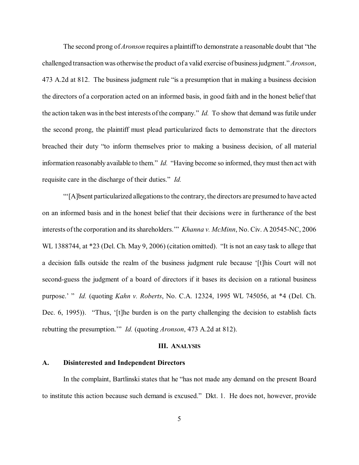The second prong of*Aronson* requires a plaintiffto demonstrate a reasonable doubt that "the challenged transactionwas otherwise the product of a valid exercise of businessjudgment." *Aronson*, 473 A.2d at 812. The business judgment rule "is a presumption that in making a business decision the directors of a corporation acted on an informed basis, in good faith and in the honest belief that the action taken was in the best interests of the company." *Id.* To show that demand was futile under the second prong, the plaintiff must plead particularized facts to demonstrate that the directors breached their duty "to inform themselves prior to making a business decision, of all material information reasonably available to them." *Id.* "Having become so informed, theymust then act with requisite care in the discharge of their duties." *Id.*

"'[A]bsent particularized allegationsto the contrary, the directors are presumed to have acted on an informed basis and in the honest belief that their decisions were in furtherance of the best interests ofthe corporation and itsshareholders.'" *Khanna v. McMinn*, No. Civ. A 20545-NC, 2006 WL 1388744, at \*23 (Del. Ch. May 9, 2006) (citation omitted). "It is not an easy task to allege that a decision falls outside the realm of the business judgment rule because '[t]his Court will not second-guess the judgment of a board of directors if it bases its decision on a rational business purpose.' " *Id.* (quoting *Kahn v. Roberts*, No. C.A. 12324, 1995 WL 745056, at \*4 (Del. Ch. Dec. 6, 1995)). "Thus, '[t]he burden is on the party challenging the decision to establish facts rebutting the presumption.'" *Id.* (quoting *Aronson*, 473 A.2d at 812).

#### **III. ANALYSIS**

#### **A. Disinterested and Independent Directors**

In the complaint, Bartlinski states that he "has not made any demand on the present Board to institute this action because such demand is excused." Dkt. 1. He does not, however, provide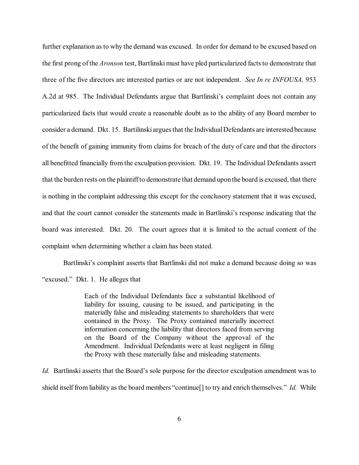further explanation as to why the demand was excused. In order for demand to be excused based on the first prong of the *Aronson* test, Bartlinski must have pled particularized facts to demonstrate that three of the five directors are interested parties or are not independent. *See In re INFOUSA,* 953 A.2d at 985. The Individual Defendants argue that Bartlinski's complaint does not contain any particularized facts that would create a reasonable doubt as to the ability of any Board member to consider a demand. Dkt. 15. Bartilinski arguesthat the IndividualDefendants are interested because of the benefit of gaining immunity from claims for breach of the duty of care and that the directors all benefitted financially from the exculpation provision. Dkt. 19. The Individual Defendants assert that the burden rests on the plaintiffto demonstrate that demand upon the board is excused, that there is nothing in the complaint addressing this except for the conclusory statement that it was excused, and that the court cannot consider the statements made in Bartlinski's response indicating that the board was interested. Dkt. 20. The court agrees that it is limited to the actual content of the complaint when determining whether a claim has been stated.

Bartlinski's complaint asserts that Bartlinski did not make a demand because doing so was "excused." Dkt. 1. He alleges that

> Each of the Individual Defendants face a substantial likelihood of liability for issuing, causing to be issued, and participating in the materially false and misleading statements to shareholders that were contained in the Proxy. The Proxy contained materially incorrect information concerning the liability that directors faced from serving on the Board of the Company without the approval of the Amendment. Individual Defendants were at least negligent in filing the Proxy with these materially false and misleading statements.

*Id.* Bartlinski asserts that the Board's sole purpose for the director exculpation amendment was to shield itself from liability as the board members "continue[] to try and enrich themselves." *Id.* While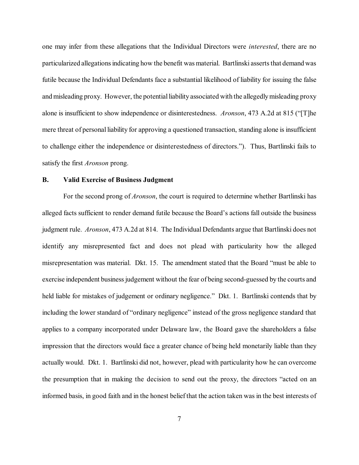one may infer from these allegations that the Individual Directors were *interested*, there are no particularized allegations indicating how the benefit was material. Bartlinski asserts that demand was futile because the Individual Defendants face a substantial likelihood of liability for issuing the false and misleading proxy. However, the potential liability associated with the allegedly misleading proxy alone is insufficient to show independence or disinterestedness. *Aronson*, 473 A.2d at 815 ("[T]he mere threat of personal liability for approving a questioned transaction, standing alone is insufficient to challenge either the independence or disinterestedness of directors."). Thus, Bartlinski fails to satisfy the first *Aronson* prong.

#### **B. Valid Exercise of Business Judgment**

For the second prong of *Aronson*, the court is required to determine whether Bartlinski has alleged facts sufficient to render demand futile because the Board's actions fall outside the business judgment rule. *Aronson*, 473 A.2d at 814. The Individual Defendants argue that Bartlinski does not identify any misrepresented fact and does not plead with particularity how the alleged misrepresentation was material. Dkt. 15. The amendment stated that the Board "must be able to exercise independent businessjudgement without the fear of being second-guessed by the courts and held liable for mistakes of judgement or ordinary negligence." Dkt. 1. Bartlinski contends that by including the lower standard of "ordinary negligence" instead of the gross negligence standard that applies to a company incorporated under Delaware law, the Board gave the shareholders a false impression that the directors would face a greater chance of being held monetarily liable than they actually would. Dkt. 1. Bartlinski did not, however, plead with particularity how he can overcome the presumption that in making the decision to send out the proxy, the directors "acted on an informed basis, in good faith and in the honest beliefthat the action taken was in the best interests of